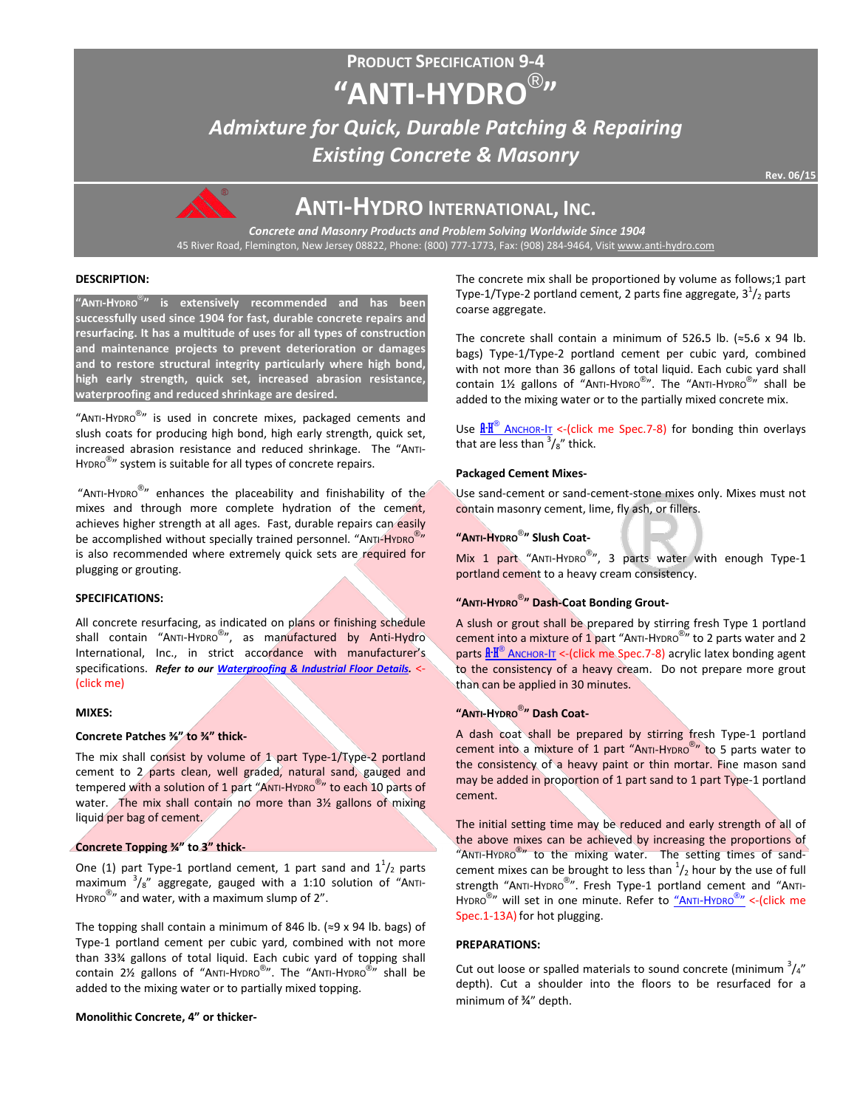# **PRODUCT SPECIFICATION 9-4 "ANTI-HYDRO**® **"** *Admixture for Quick, Durable Patching & Repairing Existing Concrete & Masonry*



# **ANTI-HYDRO INTERNATIONAL, INC.**

*Concrete and Masonry Products and Problem Solving Worldwide Since 1904* 45 River Road, Flemington, New Jersey 08822, Phone: (800) 777-1773, Fax: (908) 284-9464, Visi[t www.anti-hydro.com](http://www.anti-hydro.com/)

# **DESCRIPTION:**

**"ANTI-HYDRO**® **" is extensively recommended and has been successfully used since 1904 for fast, durable concrete repairs and resurfacing. It has a multitude of uses for all types of construction and maintenance projects to prevent deterioration or damages and to restore structural integrity particularly where high bond, high early strength, quick set, increased abrasion resistance, waterproofing and reduced shrinkage are desired.** 

"ANTI-HYDRO<sup>®</sup>" is used in concrete mixes, packaged cements and slush coats for producing high bond, high early strength, quick set, increased abrasion resistance and reduced shrinkage. The "ANTI-HYDRO<sup>®</sup>" system is suitable for all types of concrete repairs.

"ANTI-HYDRO $^{\circledR}$ " enhances the placeability and finishability of the mixes and through more complete hydration of the cement, achieves higher strength at all ages. Fast, durable repairs can easily be accomplished without specially trained personnel. "ANTI-HYDRO<sup>®</sup>" is also recommended where extremely quick sets are required for plugging or grouting.

# **SPECIFICATIONS:**

All concrete resurfacing, as indicated on plans or finishing schedule shall contain "ANTI-HYDRO<sup>®</sup>", as manufactured by Anti-Hydro International, Inc., in strict accordance with manufacturer's specifications. *Refer to our [Waterproofing & Industrial Floor Details.](http://ahi.pcmacnerds.biz/developed/pdf-display-all.php?name=TB-W-1-1.pdf&path=resources/downloads/tech-bulletins/)* <- (click me)

#### **MIXES:**

#### **Concrete Patches ⅜" to ¾" thick-**

The mix shall consist by volume of  $1$  part Type-1/Type-2 portland cement to 2 parts clean, well graded, natural sand, gauged and tempered with a solution of 1 part "ANTI-HYDRO<sup>®</sup>" to each 10 parts of water. The mix shall contain no more than 3½ gallons of mixing liquid per bag of cement.

# **Concrete Topping ¾" to 3" thick-**

One (1) part Type-1 portland cement, 1 part sand and  $1^{1}/_{2}$  parts maximum  $\frac{3}{8}$ " aggregate, gauged with a 1:10 solution of "ANTI-HYDRO $^{\circledR}$ " and water, with a maximum slump of 2".

The topping shall contain a minimum of 846 lb. ( $\approx$ 9 x 94 lb. bags) of Type-1 portland cement per cubic yard, combined with not more than 33¾ gallons of total liquid. Each cubic yard of topping shall Contain 2½ gallons of "Anti-Hypro®". The "Anti-Hypro®" shall be added to the mixing water or to partially mixed topping.

**Monolithic Concrete, 4" or thicker-**

The concrete mix shall be proportioned by volume as follows;1 part Type-1/Type-2 portland cement, 2 parts fine aggregate,  $3^{1}/_{2}$  parts coarse aggregate.

The concrete shall contain a minimum of 526**.**5 lb. (≈5**.**6 x 94 lb. bags) Type-1/Type-2 portland cement per cubic yard, combined with not more than 36 gallons of total liquid. Each cubic yard shall Contain 1½ gallons of "Anti-Hydro®". The "Anti-Hydro®" shall be added to the mixing water or to the partially mixed concrete mix.

Use  $\frac{\text{A-H}^{\text{\textcircled{e}}}}{\text{A}N \text{C}H \text{O}R}$  -  $\text{C}$  and  $\text{C}$  are Spec. 7-8) for bonding thin overlays that are less than  $\frac{3}{8}$  thick.

#### **Packaged Cement Mixes-**

Use sand-cement or sand-cement-stone mixes only. Mixes must not contain masonry cement, lime, fly ash, or fillers.

# **"ANTI-HYDRO**® **" Slush Coat-**

Mix 1 part "ANTI-HYDRO<sup>®</sup>", 3 parts water with enough Type-1 portland cement to a heavy cream consistency.

# **"ANTI-HYDRO**® **" Dash-Coat Bonding Grout-**

A slush or grout shall be prepared by stirring fresh Type 1 portland cement into a mixture of 1 part "ANTI-HYDRO $^{\circledR}$ " to 2 parts water and 2 parts  $\frac{R \cdot R^{\circledast}}{R}$  Anchor-It <-(click me Spec.7-8) acrylic latex bonding agent to the consistency of a heavy cream. Do not prepare more grout than can be applied in 30 minutes.

# **"ANTI-HYDRO**® **" Dash Coat-**

A dash coat shall be prepared by stirring fresh Type-1 portland cement into a mixture of 1 part "ANTI-HYDRO® " to 5 parts water to the consistency of a heavy paint or thin mortar. Fine mason sand may be added in proportion of 1 part sand to 1 part Type-1 portland cement.

The initial setting time may be reduced and early strength of all of the above mixes can be achieved by increasing the proportions of "ANTI-HYDRO<sup>®</sup>" to the mixing water. The setting times of sandcement mixes can be brought to less than  $\frac{1}{2}$  hour by the use of full strength "ANTI-HYDRO<sup>®</sup>". Fresh Type-1 portland cement and "ANTI-HYDRO<sup>®</sup>" will set in one minute. Refer to <u>"ANTI-HYDRO<sup>®</sup>"</u> <-(click me Spec.1-13A) for hot plugging.

# **PREPARATIONS:**

Cut out loose or spalled materials to sound concrete (minimum  $\frac{3}{4}$ " depth). Cut a shoulder into the floors to be resurfaced for a minimum of ¾" depth.